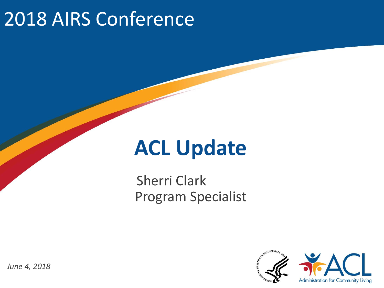## 2018 AIRS Conference

## **ACL Update**

Sherri Clark Program Specialist



*June 4, 2018*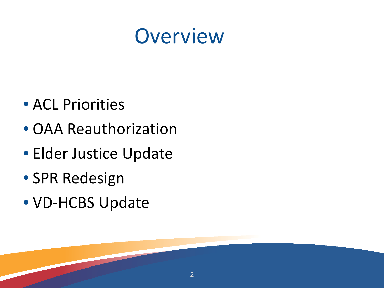## **Overview**

- ACL Priorities
- OAA Reauthorization
- Elder Justice Update
- SPR Redesign
- VD-HCBS Update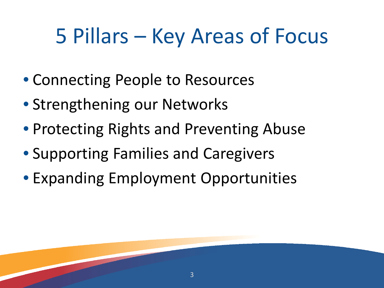# 5 Pillars – Key Areas of Focus

- Connecting People to Resources
- Strengthening our Networks
- Protecting Rights and Preventing Abuse
- Supporting Families and Caregivers
- Expanding Employment Opportunities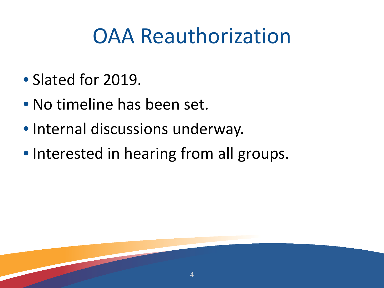# OAA Reauthorization

4

- Slated for 2019.
- No timeline has been set.
- Internal discussions underway.
- Interested in hearing from all groups.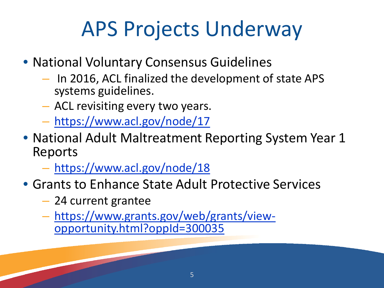# APS Projects Underway

- National Voluntary Consensus Guidelines
	- In 2016, ACL finalized the development of state APS systems guidelines.
	- ACL revisiting every two years.
	- <https://www.acl.gov/node/17>
- National Adult Maltreatment Reporting System Year 1 Reports
	- <https://www.acl.gov/node/18>
- Grants to Enhance State Adult Protective Services
	- 24 current grantee
	- [https://www.grants.gov/web/grants/view-](https://www.grants.gov/web/grants/view-opportunity.html?oppId=300035) opportunity.html?oppId=300035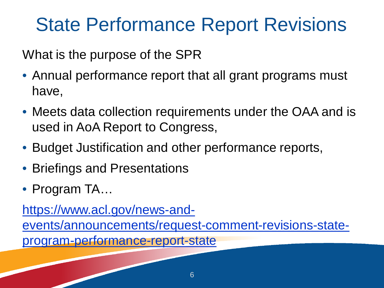## State Performance Report Revisions

What is the purpose of the SPR

- Annual performance report that all grant programs must have,
- Meets data collection requirements under the OAA and is used in AoA Report to Congress,
- Budget Justification and other performance reports,
- Briefings and Presentations
- Program TA...

https://www.acl.gov/news-and-

[events/announcements/request-comment-revisions-state-](https://www.acl.gov/news-and-events/announcements/request-comment-revisions-state-program-performance-report-state)

program-performance-report-state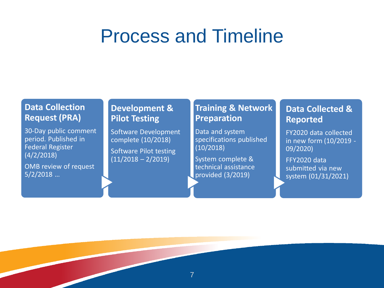### Process and Timeline

#### **Data Collection Request (PRA)**

30-Day public comment period. Published in Federal Register (4/2/2018)

OMB review of request 5/2/2018 …

#### **Development & Pilot Testing**

Software Development complete (10/2018) Software Pilot testing  $(11/2018 - 2/2019)$ 

#### **Training & Network Preparation**

Data and system specifications published (10/2018)

System complete & technical assistance provided (3/2019)

#### **Data Collected & Reported**

FY2020 data collected in new form (10/2019 - 09/2020)

FFY2020 data submitted via new system (01/31/2021)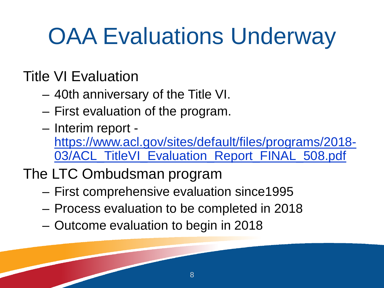# **OAA Evaluations Underway**

#### Title VI Evaluation

- 40th anniversary of the Title VI.
- First evaluation of the program.
- Interim report [https://www.acl.gov/sites/default/files/programs/2018-](https://www.acl.gov/sites/default/files/programs/2018-03/ACL_TitleVI_Evaluation_Report_FINAL_508.pdf) 03/ACL\_TitleVI\_Evaluation\_Report\_FINAL\_508.pdf
- The LTC Ombudsman program
	- First comprehensive evaluation since1995
	- Process evaluation to be completed in 2018
	- Outcome evaluation to begin in 2018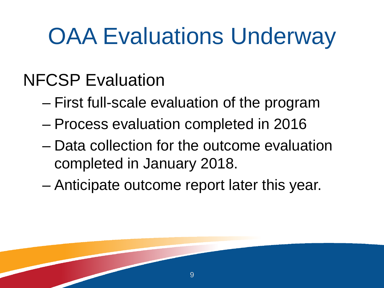# **OAA Evaluations Underway**

### NFCSP Evaluation

- First full-scale evaluation of the program
- Process evaluation completed in 2016
- Data collection for the outcome evaluation completed in January 2018.

9

– Anticipate outcome report later this year.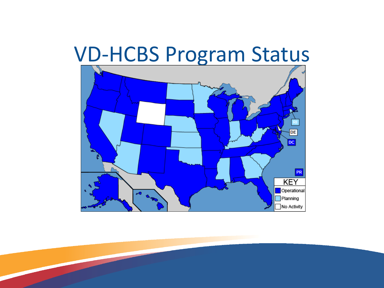## VD-HCBS Program Status

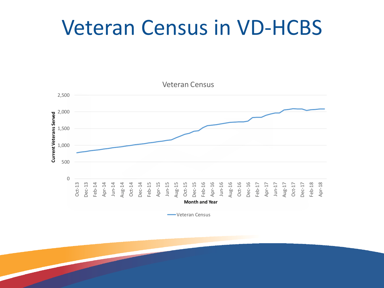## Veteran Census in VD-HCBS



**Weteran Census**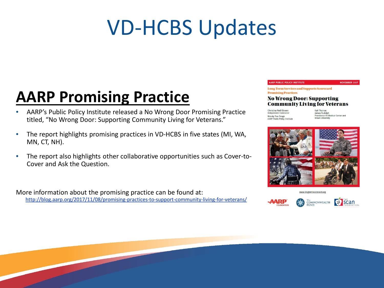# VD-HCBS Updates

#### **AARP Promising Practice**

- AARP's Public Policy Institute released a No Wrong Door Promising Practice titled, "No Wrong Door: Supporting Community Living for Veterans."
- The report highlights promising practices in VD-HCBS in five states (MI, WA, MN, CT, NH).
- The report also highlights other collaborative opportunities such as Cover-to-Cover and Ask the Question.

More information about the promising practice can be found at: <http://blog.aarp.org/2017/11/08/promising-practices-to-support-community-living-for-veterans/>

#### **AARP PUBLIC POLICY INSTITUTE**

**NOVEMBER 2017** 

**Long-Term Services and Supports Scorecard Promising Practices** 

#### **No Wrong Door: Supporting Community Living for Veterans**

Christina Neill Bowen Independent Contractor Wendy Fox-Grage **AARP Public Policy Institute** 

Kali Thomas James Rudolph<br>Providence VA Medical Center and **Brown University** 



www.longtermscorecard.org



**CP** scan COMMONWEALTH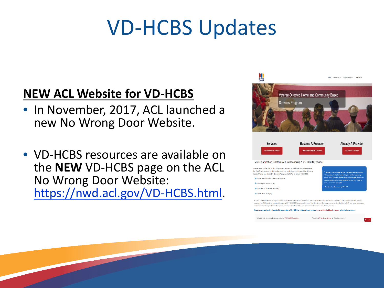# VD-HCBS Updates

#### **NEW ACL Website for VD-HCBS**

- In November, 2017, ACL launched a new No Wrong Door Website.
- VD-HCBS resources are available on the **NEW** VD-HCBS page on the ACL No Wrong Door Website: <https://nwd.acl.gov/VD-HCBS.html>.



If your organization is interested in becoming a VD-HCBS provider, please contact veterandirected@acl.hhs.gov to begin the

VAMCs that currently have operational VD-HCBS Programs

Find the VA Medical Center in Your Community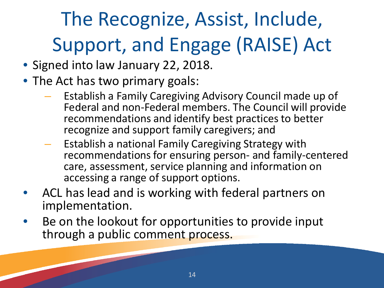# The Recognize, Assist, Include, Support, and Engage (RAISE) Act

- Signed into law January 22, 2018.
- The Act has two primary goals:
	- Establish a Family Caregiving Advisory Council made up of Federal and non-Federal members. The Council will provide recommendations and identify best practices to better recognize and support family caregivers; and
	- Establish a national Family Caregiving Strategy with recommendations for ensuring person- and family-centered care, assessment, service planning and information on accessing a range of support options.
- ACL has lead and is working with federal partners on implementation.
- Be on the lookout for opportunities to provide input through a public comment process.